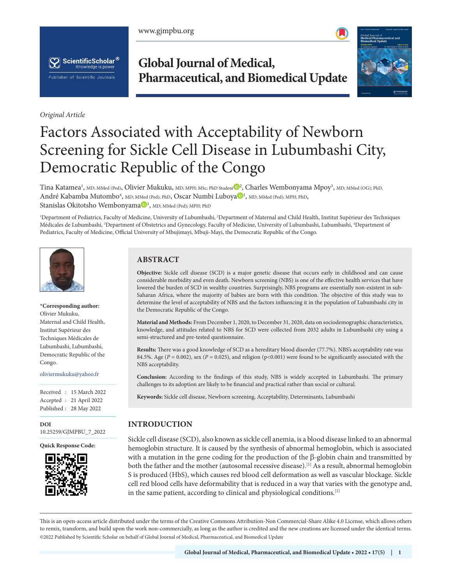www.gjmpbu.org





*Original Article*

# **Global Journal of Medical, Pharmaceutical, and Biomedical Update**



# Factors Associated with Acceptability of Newborn Screening for Sickle Cell Disease in Lubumbashi City, Democratic Republic of the Congo

Tina Katamea<sup>1</sup>, MD; MMed (Ped), Olivier Mukuku, MD; MPH; MSc; PhD Stude[nt](https://orcid.org/0000-0001-6902-7023)  $\mathbb{D}^2$ , Charles Wembonyama Mpoy<sup>3</sup>, MD; MMed (OG); PhD, André K[a](https://orcid.org/0000-0003-2679-1587)bamba Mutombo<sup>4</sup>, MD; MMed (Ped); PhD, Oscar Numbi Luboya<sup>n</sup>, MD; MMed (Ped); MPH; PhD, St[a](https://orcid.org/0000-0001-7556-479X)nislas Okitotsho Wembonyama $\mathbb{D}^1$ , MD; MMed (Ped); MPH; PhD

1 Department of Pediatrics, Faculty of Medicine, University of Lubumbashi, 2 Department of Maternal and Child Health, Institut Supérieur des Techniques Médicales de Lubumbashi, <sup>3</sup>Department of Obstetrics and Gynecology, Faculty of Medicine, University of Lubumbashi, Lubumbashi, <sup>4</sup>Department of Pediatrics, Faculty of Medicine, Official University of Mbujimayi, Mbuji-Mayi, the Democratic Republic of the Congo.



#### **\*Corresponding author:** Olivier Mukuku, Maternal and Child Health,

Institut Supérieur des Techniques Médicales de Lubumbashi, Lubumbashi, Democratic Republic of the Congo.

oliviermukuku@yahoo.fr

Received : 15 March 2022 Accepted : 21 April 2022 Published : 28 May 2022

**DOI** [10.25259/GJMPBU\\_7\\_2022](https://dx.doi.org/10.25259/GJMPBU_7_2022)

**Quick Response Code:**



### **ABSTRACT**

**Objective:** Sickle cell disease (SCD) is a major genetic disease that occurs early in childhood and can cause considerable morbidity and even death. Newborn screening (NBS) is one of the effective health services that have lowered the burden of SCD in wealthy countries. Surprisingly, NBS programs are essentially non-existent in sub-Saharan Africa, where the majority of babies are born with this condition. The objective of this study was to determine the level of acceptability of NBS and the factors influencing it in the population of Lubumbashi city in the Democratic Republic of the Congo.

**Material and Methods:** From December 1, 2020, to December 31, 2020, data on sociodemographic characteristics, knowledge, and attitudes related to NBS for SCD were collected from 2032 adults in Lubumbashi city using a semi-structured and pre-tested questionnaire.

**Results:** There was a good knowledge of SCD as a hereditary blood disorder (77.7%). NBS's acceptability rate was 84.5%. Age ( $P = 0.002$ ), sex ( $P = 0.025$ ), and religion (p<0.001) were found to be significantly associated with the NBS acceptability.

**Conclusion:** According to the findings of this study, NBS is widely accepted in Lubumbashi. The primary challenges to its adoption are likely to be financial and practical rather than social or cultural.

**Keywords:** Sickle cell disease, Newborn screening, Acceptability, Determinants, Lubumbashi

## **INTRODUCTION**

Sickle cell disease (SCD), also known as sickle cell anemia, is a blood disease linked to an abnormal hemoglobin structure. It is caused by the synthesis of abnormal hemoglobin, which is associated with a mutation in the gene coding for the production of the  $\beta$ -globin chain and transmitted by both the father and the mother (autosomal recessive disease).<sup>[1]</sup> As a result, abnormal hemoglobin S is produced (HbS), which causes red blood cell deformation as well as vascular blockage. Sickle cell red blood cells have deformability that is reduced in a way that varies with the genotype and, in the same patient, according to clinical and physiological conditions.[1]

is is an open-access article distributed under the terms of the Creative Commons Attribution-Non Commercial-Share Alike 4.0 License, which allows others to remix, transform, and build upon the work non-commercially, as long as the author is credited and the new creations are licensed under the identical terms. ©2022 Published by Scientific Scholar on behalf of Global Journal of Medical, Pharmaceutical, and Biomedical Update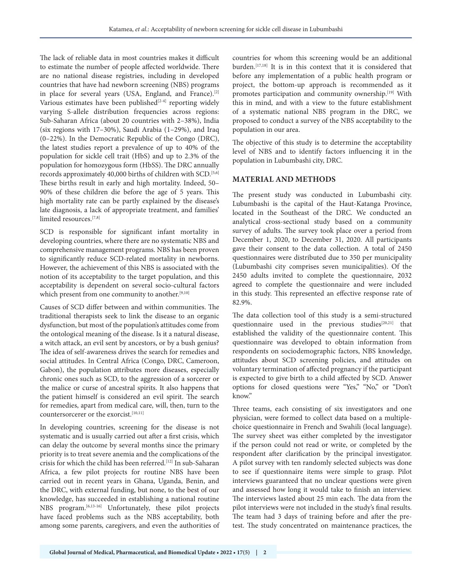The lack of reliable data in most countries makes it difficult to estimate the number of people affected worldwide. There are no national disease registries, including in developed countries that have had newborn screening (NBS) programs in place for several years (USA, England, and France).<sup>[2]</sup> Various estimates have been published $[2-4]$  reporting widely varying S-allele distribution frequencies across regions: Sub-Saharan Africa (about 20 countries with 2–38%), India (six regions with 17–30%), Saudi Arabia (1–29%), and Iraq (0–22%). In the Democratic Republic of the Congo (DRC), the latest studies report a prevalence of up to 40% of the population for sickle cell trait (HbS) and up to 2.3% of the population for homozygous form (HbSS). The DRC annually records approximately 40,000 births of children with SCD.<sup>[5,6]</sup> These births result in early and high mortality. Indeed, 50– 90% of these children die before the age of 5 years. This high mortality rate can be partly explained by the disease's late diagnosis, a lack of appropriate treatment, and families' limited resources.[7,8]

SCD is responsible for significant infant mortality in developing countries, where there are no systematic NBS and comprehensive management programs. NBS has been proven to significantly reduce SCD-related mortality in newborns. However, the achievement of this NBS is associated with the notion of its acceptability to the target population, and this acceptability is dependent on several socio-cultural factors which present from one community to another.<sup>[9,10]</sup>

Causes of SCD differ between and within communities. The traditional therapists seek to link the disease to an organic dysfunction, but most of the population's attitudes come from the ontological meaning of the disease. Is it a natural disease, a witch attack, an evil sent by ancestors, or by a bush genius? The idea of self-awareness drives the search for remedies and social attitudes. In Central Africa (Congo, DRC, Cameroon, Gabon), the population attributes more diseases, especially chronic ones such as SCD, to the aggression of a sorcerer or the malice or curse of ancestral spirits. It also happens that the patient himself is considered an evil spirit. The search for remedies, apart from medical care, will, then, turn to the countersorcerer or the exorcist.<sup>[10,11]</sup>

In developing countries, screening for the disease is not systematic and is usually carried out after a first crisis, which can delay the outcome by several months since the primary priority is to treat severe anemia and the complications of the crisis for which the child has been referred.<sup>[12]</sup> In sub-Saharan Africa, a few pilot projects for routine NBS have been carried out in recent years in Ghana, Uganda, Benin, and the DRC, with external funding, but none, to the best of our knowledge, has succeeded in establishing a national routine NBS program.[6,13-16] Unfortunately, these pilot projects have faced problems such as the NBS acceptability, both among some parents, caregivers, and even the authorities of countries for whom this screening would be an additional burden.[17,18] It is in this context that it is considered that before any implementation of a public health program or project, the bottom-up approach is recommended as it promotes participation and community ownership.<sup>[19]</sup> With this in mind, and with a view to the future establishment of a systematic national NBS program in the DRC, we proposed to conduct a survey of the NBS acceptability to the population in our area.

The objective of this study is to determine the acceptability level of NBS and to identify factors influencing it in the population in Lubumbashi city, DRC.

#### **MATERIAL AND METHODS**

The present study was conducted in Lubumbashi city. Lubumbashi is the capital of the Haut-Katanga Province, located in the Southeast of the DRC. We conducted an analytical cross-sectional study based on a community survey of adults. The survey took place over a period from December 1, 2020, to December 31, 2020. All participants gave their consent to the data collection. A total of 2450 questionnaires were distributed due to 350 per municipality (Lubumbashi city comprises seven municipalities). Of the 2450 adults invited to complete the questionnaire, 2032 agreed to complete the questionnaire and were included in this study. This represented an effective response rate of 82.9%.

The data collection tool of this study is a semi-structured questionnaire used in the previous studies<sup>[20,21]</sup> that established the validity of the questionnaire content. This questionnaire was developed to obtain information from respondents on sociodemographic factors, NBS knowledge, attitudes about SCD screening policies, and attitudes on voluntary termination of affected pregnancy if the participant is expected to give birth to a child affected by SCD. Answer options for closed questions were "Yes," "No," or "Don't know."

Three teams, each consisting of six investigators and one physician, were formed to collect data based on a multiplechoice questionnaire in French and Swahili (local language). The survey sheet was either completed by the investigator if the person could not read or write, or completed by the respondent after clarification by the principal investigator. A pilot survey with ten randomly selected subjects was done to see if questionnaire items were simple to grasp. Pilot interviews guaranteed that no unclear questions were given and assessed how long it would take to finish an interview. The interviews lasted about 25 min each. The data from the pilot interviews were not included in the study's final results. The team had 3 days of training before and after the pretest. The study concentrated on maintenance practices, the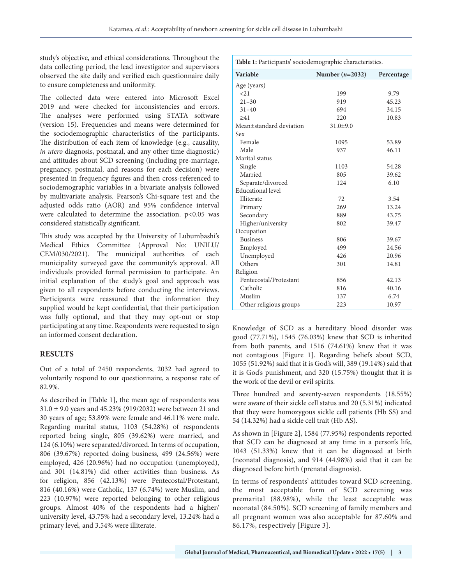study's objective, and ethical considerations. Throughout the data collecting period, the lead investigator and supervisors observed the site daily and verified each questionnaire daily to ensure completeness and uniformity.

The collected data were entered into Microsoft Excel 2019 and were checked for inconsistencies and errors. The analyses were performed using STATA software (version 15). Frequencies and means were determined for the sociodemographic characteristics of the participants. The distribution of each item of knowledge (e.g., causality, *in utero* diagnosis, postnatal, and any other time diagnostic) and attitudes about SCD screening (including pre-marriage, pregnancy, postnatal, and reasons for each decision) were presented in frequency figures and then cross-referenced to sociodemographic variables in a bivariate analysis followed by multivariate analysis. Pearson's Chi-square test and the adjusted odds ratio (AOR) and 95% confidence interval were calculated to determine the association. p<0.05 was considered statistically significant.

This study was accepted by the University of Lubumbashi's Medical Ethics Committee (Approval No: UNILU/ CEM/030/2021). The municipal authorities of each municipality surveyed gave the community's approval. All individuals provided formal permission to participate. An initial explanation of the study's goal and approach was given to all respondents before conducting the interviews. Participants were reassured that the information they supplied would be kept confidential, that their participation was fully optional, and that they may opt-out or stop participating at any time. Respondents were requested to sign an informed consent declaration.

#### **RESULTS**

Out of a total of 2450 respondents, 2032 had agreed to voluntarily respond to our questionnaire, a response rate of 82.9%.

As described in [Table 1], the mean age of respondents was 31.0 ± 9.0 years and 45.23% (919/2032) were between 21 and 30 years of age; 53.89% were female and 46.11% were male. Regarding marital status, 1103 (54.28%) of respondents reported being single, 805 (39.62%) were married, and 124 (6.10%) were separated/divorced. In terms of occupation, 806 (39.67%) reported doing business, 499 (24.56%) were employed, 426 (20.96%) had no occupation (unemployed), and 301 (14.81%) did other activities than business. As for religion, 856 (42.13%) were Pentecostal/Protestant, 816 (40.16%) were Catholic, 137 (6.74%) were Muslim, and 223 (10.97%) were reported belonging to other religious groups. Almost 40% of the respondents had a higher/ university level, 43.75% had a secondary level, 13.24% had a primary level, and 3.54% were illiterate.

| Table 1: Participants' sociodemographic characteristics. |                   |            |  |  |  |  |
|----------------------------------------------------------|-------------------|------------|--|--|--|--|
| Variable                                                 | Number $(n=2032)$ | Percentage |  |  |  |  |
| Age (years)                                              |                   |            |  |  |  |  |
| <2.1                                                     | 199               | 9.79       |  |  |  |  |
| $21 - 30$                                                | 919               | 45.23      |  |  |  |  |
| $31 - 40$                                                | 694               | 34.15      |  |  |  |  |
| >41                                                      | 220               | 10.83      |  |  |  |  |
| Mean+standard deviation                                  | $31.0 \pm 9.0$    |            |  |  |  |  |
| Sex                                                      |                   |            |  |  |  |  |
| Female                                                   | 1095              | 53.89      |  |  |  |  |
| Male                                                     | 937               | 46.11      |  |  |  |  |
| Marital status                                           |                   |            |  |  |  |  |
| Single                                                   | 1103              | 54.28      |  |  |  |  |
| Married                                                  | 805               | 39.62      |  |  |  |  |
| Separate/divorced                                        | 124               | 6.10       |  |  |  |  |
| <b>Educational</b> level                                 |                   |            |  |  |  |  |
| Illiterate                                               | 72                | 3.54       |  |  |  |  |
| Primary                                                  | 269               | 13.24      |  |  |  |  |
| Secondary                                                | 889               | 43.75      |  |  |  |  |
| Higher/university                                        | 802               | 39.47      |  |  |  |  |
| Occupation                                               |                   |            |  |  |  |  |
| <b>Business</b>                                          | 806               | 39.67      |  |  |  |  |
| Employed                                                 | 499               | 24.56      |  |  |  |  |
| Unemployed                                               | 426               | 20.96      |  |  |  |  |
| Others                                                   | 301               | 14.81      |  |  |  |  |
| Religion                                                 |                   |            |  |  |  |  |
| Pentecostal/Protestant                                   | 856               | 42.13      |  |  |  |  |
| Catholic                                                 | 816               | 40.16      |  |  |  |  |
| Muslim                                                   | 137               | 6.74       |  |  |  |  |
| Other religious groups                                   | 223               | 10.97      |  |  |  |  |

Knowledge of SCD as a hereditary blood disorder was good (77.71%), 1545 (76.03%) knew that SCD is inherited from both parents, and 1516 (74.61%) knew that it was not contagious [Figure 1]. Regarding beliefs about SCD, 1055 (51.92%) said that it is God's will, 389 (19.14%) said that it is God's punishment, and 320 (15.75%) thought that it is the work of the devil or evil spirits.

Three hundred and seventy-seven respondents (18.55%) were aware of their sickle cell status and 20 (5.31%) indicated that they were homozygous sickle cell patients (Hb SS) and 54 (14.32%) had a sickle cell trait (Hb AS).

As shown in [Figure 2], 1584 (77.95%) respondents reported that SCD can be diagnosed at any time in a person's life, 1043 (51.33%) knew that it can be diagnosed at birth (neonatal diagnosis), and 914 (44.98%) said that it can be diagnosed before birth (prenatal diagnosis).

In terms of respondents' attitudes toward SCD screening, the most acceptable form of SCD screening was premarital (88.98%), while the least acceptable was neonatal (84.50%). SCD screening of family members and all pregnant women was also acceptable for 87.60% and 86.17%, respectively [Figure 3].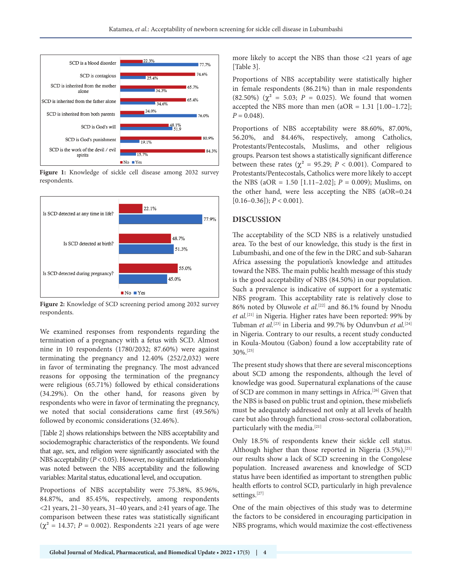

**Figure 1:** Knowledge of sickle cell disease among 2032 survey respondents.



**Figure 2:** Knowledge of SCD screening period among 2032 survey respondents.

We examined responses from respondents regarding the termination of a pregnancy with a fetus with SCD. Almost nine in 10 respondents (1780/2032; 87.60%) were against terminating the pregnancy and 12.40% (252/2,032) were in favor of terminating the pregnancy. The most advanced reasons for opposing the termination of the pregnancy were religious (65.71%) followed by ethical considerations (34.29%). On the other hand, for reasons given by respondents who were in favor of terminating the pregnancy, we noted that social considerations came first (49.56%) followed by economic considerations (32.46%).

[Table 2] shows relationships between the NBS acceptability and sociodemographic characteristics of the respondents. We found that age, sex, and religion were significantly associated with the NBS acceptability (*P* < 0.05). However, no significant relationship was noted between the NBS acceptability and the following variables: Marital status, educational level, and occupation.

Proportions of NBS acceptability were 75.38%, 85.96%, 84.87%, and 85.45%, respectively, among respondents <21 years, 21–30 years, 31–40 years, and ≥41 years of age. The comparison between these rates was statistically significant  $(\chi^2 = 14.37; P = 0.002)$ . Respondents ≥21 years of age were more likely to accept the NBS than those <21 years of age [Table 3].

Proportions of NBS acceptability were statistically higher in female respondents (86.21%) than in male respondents (82.50%) ( $\chi^2$  = 5.03; *P* = 0.025). We found that women accepted the NBS more than men  $(aOR = 1.31 \mid 1.00-1.72]$ ;  $P = 0.048$ .

Proportions of NBS acceptability were 88.60%, 87.00%, 56.20%, and 84.46%, respectively, among Catholics, Protestants/Pentecostals, Muslims, and other religious groups. Pearson test shows a statistically significant difference between these rates ( $\chi^2$  = 95.29; *P* < 0.001). Compared to Protestants/Pentecostals, Catholics were more likely to accept the NBS (aOR = 1.50 [1.11–2.02]; *P* = 0.009); Muslims, on the other hand, were less accepting the NBS (aOR=0.24  $[0.16-0.36]$ ;  $P < 0.001$ ).

#### **DISCUSSION**

The acceptability of the SCD NBS is a relatively unstudied area. To the best of our knowledge, this study is the first in Lubumbashi, and one of the few in the DRC and sub-Saharan Africa assessing the population's knowledge and attitudes toward the NBS. The main public health message of this study is the good acceptability of NBS (84.50%) in our population. Such a prevalence is indicative of support for a systematic NBS program. This acceptability rate is relatively close to 86% noted by Oluwole et al.<sup>[22]</sup> and 86.1% found by Nnodu *et al.*[21] in Nigeria. Higher rates have been reported: 99% by Tubman *et al.*[23] in Liberia and 99.7% by Odunvbun *et al.*[24] in Nigeria. Contrary to our results, a recent study conducted in Koula-Moutou (Gabon) found a low acceptability rate of 30%.[25]

The present study shows that there are several misconceptions about SCD among the respondents, although the level of knowledge was good. Supernatural explanations of the cause of SCD are common in many settings in Africa.[26] Given that the NBS is based on public trust and opinion, these misbeliefs must be adequately addressed not only at all levels of health care but also through functional cross-sectoral collaboration, particularly with the media.<sup>[21]</sup>

Only 18.5% of respondents knew their sickle cell status. Although higher than those reported in Nigeria  $(3.5\%)$ , [21] our results show a lack of SCD screening in the Congolese population. Increased awareness and knowledge of SCD status have been identified as important to strengthen public health efforts to control SCD, particularly in high prevalence settings.[27]

One of the main objectives of this study was to determine the factors to be considered in encouraging participation in NBS programs, which would maximize the cost-effectiveness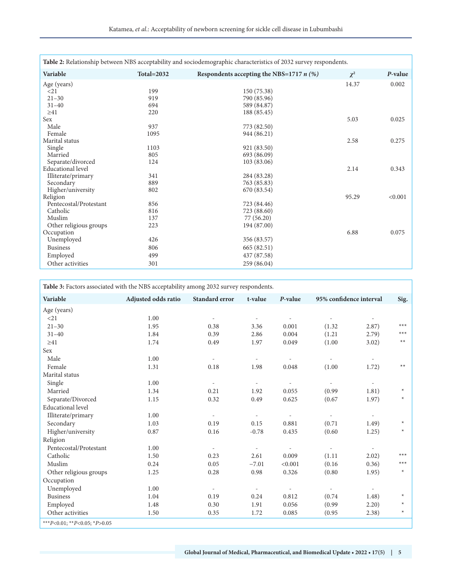| Table 2: Relationship between NBS acceptability and sociodemographic characteristics of 2032 survey respondents. |                   |                                            |          |         |  |  |  |  |
|------------------------------------------------------------------------------------------------------------------|-------------------|--------------------------------------------|----------|---------|--|--|--|--|
| Variable                                                                                                         | <b>Total=2032</b> | Respondents accepting the NBS=1717 $n$ (%) | $\chi^2$ | P-value |  |  |  |  |
| Age (years)                                                                                                      |                   |                                            | 14.37    | 0.002   |  |  |  |  |
| $21$                                                                                                             | 199               | 150 (75.38)                                |          |         |  |  |  |  |
| $21 - 30$                                                                                                        | 919               | 790 (85.96)                                |          |         |  |  |  |  |
| $31 - 40$                                                                                                        | 694               | 589 (84.87)                                |          |         |  |  |  |  |
| $\geq 41$                                                                                                        | 220               | 188 (85.45)                                |          |         |  |  |  |  |
| Sex                                                                                                              |                   |                                            | 5.03     | 0.025   |  |  |  |  |
| Male                                                                                                             | 937               | 773 (82.50)                                |          |         |  |  |  |  |
| Female                                                                                                           | 1095              | 944 (86.21)                                |          |         |  |  |  |  |
| Marital status                                                                                                   |                   |                                            | 2.58     | 0.275   |  |  |  |  |
| Single                                                                                                           | 1103              | 921 (83.50)                                |          |         |  |  |  |  |
| Married                                                                                                          | 805               | 693 (86.09)                                |          |         |  |  |  |  |
| Separate/divorced                                                                                                | 124               | 103 (83.06)                                |          |         |  |  |  |  |
| <b>Educational level</b>                                                                                         |                   |                                            | 2.14     | 0.343   |  |  |  |  |
| Illiterate/primary                                                                                               | 341               | 284 (83.28)                                |          |         |  |  |  |  |
| Secondary                                                                                                        | 889               | 763 (85.83)                                |          |         |  |  |  |  |
| Higher/university                                                                                                | 802               | 670 (83.54)                                |          |         |  |  |  |  |
| Religion                                                                                                         |                   |                                            | 95.29    | < 0.001 |  |  |  |  |
| Pentecostal/Protestant                                                                                           | 856               | 723 (84.46)                                |          |         |  |  |  |  |
| Catholic                                                                                                         | 816               | 723 (88.60)                                |          |         |  |  |  |  |
| Muslim                                                                                                           | 137               | 77(56.20)                                  |          |         |  |  |  |  |
| Other religious groups                                                                                           | 223               | 194 (87.00)                                |          |         |  |  |  |  |
| Occupation                                                                                                       |                   |                                            | 6.88     | 0.075   |  |  |  |  |
| Unemployed                                                                                                       | 426               | 356 (83.57)                                |          |         |  |  |  |  |
| <b>Business</b>                                                                                                  | 806               | 665 (82.51)                                |          |         |  |  |  |  |
| Employed                                                                                                         | 499               | 437 (87.58)                                |          |         |  |  |  |  |
| Other activities                                                                                                 | 301               | 259 (86.04)                                |          |         |  |  |  |  |

| Table 3: Factors associated with the NBS acceptability among 2032 survey respondents. |                     |                          |                          |                          |                          |                          |         |  |
|---------------------------------------------------------------------------------------|---------------------|--------------------------|--------------------------|--------------------------|--------------------------|--------------------------|---------|--|
| Variable                                                                              | Adjusted odds ratio | Standard error           | t-value                  | P-value                  | 95% confidence interval  |                          | Sig.    |  |
| Age (years)                                                                           |                     |                          |                          |                          |                          |                          |         |  |
| <21                                                                                   | 1.00                | $\overline{\phantom{a}}$ | $\overline{\phantom{a}}$ | $\overline{\phantom{a}}$ |                          |                          |         |  |
| $21 - 30$                                                                             | 1.95                | 0.38                     | 3.36                     | 0.001                    | (1.32)                   | 2.87)                    | $***$   |  |
| $31 - 40$                                                                             | 1.84                | 0.39                     | 2.86                     | 0.004                    | (1.21)                   | (2.79)                   | $***$   |  |
| $\geq 41$                                                                             | 1.74                | 0.49                     | 1.97                     | 0.049                    | (1.00)                   | 3.02)                    | $**$    |  |
| Sex                                                                                   |                     |                          |                          |                          |                          |                          |         |  |
| Male                                                                                  | 1.00                | $\overline{\phantom{a}}$ | $\overline{\phantom{a}}$ | $\overline{\phantom{a}}$ | $\overline{a}$           | $\sim$                   |         |  |
| Female                                                                                | 1.31                | 0.18                     | 1.98                     | 0.048                    | (1.00)                   | 1.72)                    | $**$    |  |
| Marital status                                                                        |                     |                          |                          |                          |                          |                          |         |  |
| Single                                                                                | 1.00                | $\overline{\phantom{a}}$ | $\overline{\phantom{a}}$ | $\overline{\phantom{a}}$ | $\overline{\phantom{a}}$ | $\overline{\phantom{a}}$ |         |  |
| Married                                                                               | 1.34                | 0.21                     | 1.92                     | 0.055                    | (0.99)                   | 1.81)                    | $\star$ |  |
| Separate/Divorced                                                                     | 1.15                | 0.32                     | 0.49                     | 0.625                    | (0.67)                   | 1.97)                    | $\ast$  |  |
| <b>Educational</b> level                                                              |                     |                          |                          |                          |                          |                          |         |  |
| Illiterate/primary                                                                    | 1.00                | $\overline{\phantom{a}}$ | $\overline{\phantom{a}}$ | $\sim$                   |                          | $\sim$                   |         |  |
| Secondary                                                                             | 1.03                | 0.19                     | 0.15                     | 0.881                    | (0.71)                   | 1.49)                    | $\star$ |  |
| Higher/university                                                                     | 0.87                | 0.16                     | $-0.78$                  | 0.435                    | (0.60)                   | 1.25)                    | $\ast$  |  |
| Religion                                                                              |                     |                          |                          |                          |                          |                          |         |  |
| Pentecostal/Protestant                                                                | 1.00                | $\overline{\phantom{a}}$ | $\overline{\phantom{a}}$ |                          | $\sim$                   | $\overline{\phantom{a}}$ |         |  |
| Catholic                                                                              | 1.50                | 0.23                     | 2.61                     | 0.009                    | (1.11)                   | 2.02)                    | $***$   |  |
| Muslim                                                                                | 0.24                | 0.05                     | $-7.01$                  | < 0.001                  | (0.16)                   | (0.36)                   | $***$   |  |
| Other religious groups                                                                | 1.25                | 0.28                     | 0.98                     | 0.326                    | (0.80)                   | 1.95)                    | $\star$ |  |
| Occupation                                                                            |                     |                          |                          |                          |                          |                          |         |  |
| Unemployed                                                                            | 1.00                | $\overline{\phantom{a}}$ | $\overline{\phantom{a}}$ | ÷.                       | $\sim$                   | $\overline{a}$           |         |  |
| <b>Business</b>                                                                       | 1.04                | 0.19                     | 0.24                     | 0.812                    | (0.74)                   | 1.48)                    | $\ast$  |  |
| Employed                                                                              | 1.48                | 0.30                     | 1.91                     | 0.056                    | (0.99)                   | 2.20)                    | $\ast$  |  |
| Other activities                                                                      | 1.50                | 0.35                     | 1.72                     | 0.085                    | (0.95)                   | (2.38)                   | $\star$ |  |
| ***P<0.01; **P<0.05; *P>0.05                                                          |                     |                          |                          |                          |                          |                          |         |  |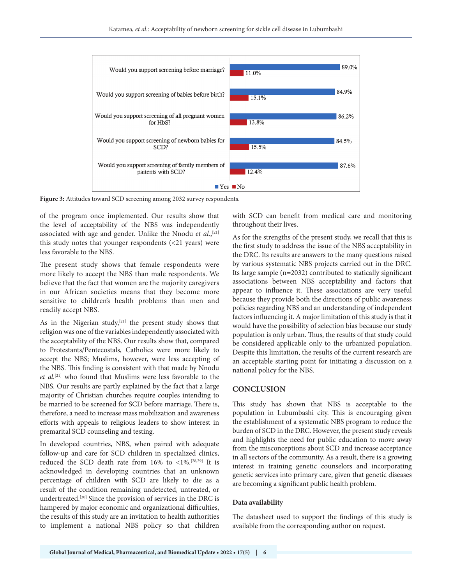

**Figure 3:** Attitudes toward SCD screening among 2032 survey respondents.

of the program once implemented. Our results show that the level of acceptability of the NBS was independently associated with age and gender. Unlike the Nnodu et al.,<sup>[21]</sup> this study notes that younger respondents (<21 years) were less favorable to the NBS.

The present study shows that female respondents were more likely to accept the NBS than male respondents. We believe that the fact that women are the majority caregivers in our African societies means that they become more sensitive to children's health problems than men and readily accept NBS.

As in the Nigerian study,<sup>[21]</sup> the present study shows that religion was one of the variables independently associated with the acceptability of the NBS. Our results show that, compared to Protestants/Pentecostals, Catholics were more likely to accept the NBS; Muslims, however, were less accepting of the NBS. This finding is consistent with that made by Nnodu *et al.*[21] who found that Muslims were less favorable to the NBS. Our results are partly explained by the fact that a large majority of Christian churches require couples intending to be married to be screened for SCD before marriage. There is, therefore, a need to increase mass mobilization and awareness efforts with appeals to religious leaders to show interest in premarital SCD counseling and testing.

In developed countries, NBS, when paired with adequate follow-up and care for SCD children in specialized clinics, reduced the SCD death rate from 16% to <1%.[28,29] It is acknowledged in developing countries that an unknown percentage of children with SCD are likely to die as a result of the condition remaining undetected, untreated, or undertreated.[30] Since the provision of services in the DRC is hampered by major economic and organizational difficulties, the results of this study are an invitation to health authorities to implement a national NBS policy so that children with SCD can benefit from medical care and monitoring throughout their lives.

As for the strengths of the present study, we recall that this is the first study to address the issue of the NBS acceptability in the DRC. Its results are answers to the many questions raised by various systematic NBS projects carried out in the DRC. Its large sample (n=2032) contributed to statically significant associations between NBS acceptability and factors that appear to influence it. These associations are very useful because they provide both the directions of public awareness policies regarding NBS and an understanding of independent factors influencing it. A major limitation of this study is that it would have the possibility of selection bias because our study population is only urban. Thus, the results of that study could be considered applicable only to the urbanized population. Despite this limitation, the results of the current research are an acceptable starting point for initiating a discussion on a national policy for the NBS.

#### **CONCLUSION**

This study has shown that NBS is acceptable to the population in Lubumbashi city. This is encouraging given the establishment of a systematic NBS program to reduce the burden of SCD in the DRC. However, the present study reveals and highlights the need for public education to move away from the misconceptions about SCD and increase acceptance in all sectors of the community. As a result, there is a growing interest in training genetic counselors and incorporating genetic services into primary care, given that genetic diseases are becoming a significant public health problem.

#### **Data availability**

The datasheet used to support the findings of this study is available from the corresponding author on request.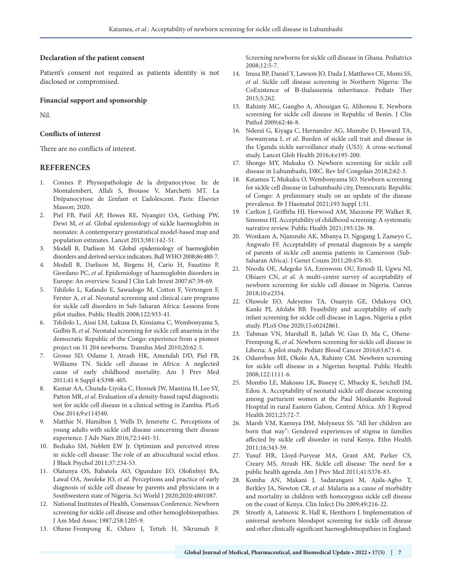#### **Declaration of the patient consent**

Patient's consent not required as patients identity is not disclosed or compromised.

#### **Financial support and sponsorship**

Nil.

#### **Conflicts of interest**

There are no conflicts of interest.

#### **REFERENCES**

- 1. Connes P. Physiopathologie de la drépanocytose. In: de Montalembert, Allali S, Brousse V, Marchetti MT. La Drépanocytose de L'enfant et L'adolescent. Paris: Elsevier Masson; 2020.
- 2. Piel FB, Patil AP, Howes RE, Nyangiri OA, Gething PW, Dewi M, *et al*. Global epidemiology of sickle haemoglobin in neonates: A contemporary geostatistical model-based map and population estimates. Lancet 2013;381:142-51.
- 3. Modell B, Darlison M. Global epidemiology of haemoglobin disorders and derived service indicators. Bull WHO 2008;86:480-7.
- 4. Modell B, Darlison M, Birgens H, Cario H, Faustino P, Giordano PC, *et al*. Epidemiology of haemoglobin disorders in Europe: An overview. Scand J Clin Lab Invest 2007;67:39-69.
- 5. Tshilolo L, Kafando E, Sawadogo M, Cotton F, Vertongen F, Ferster A, *et al*. Neonatal screening and clinical care programs for sickle cell disorders in Sub-Saharan Africa: Lessons from pilot studies. Public Health 2008;122:933-41.
- 6. Tshilolo L, Aissi LM, Lukusa D, Kinsiama C, Wembonyama S, Gulbis B, *et al*. Neonatal screening for sickle cell anaemia in the democratic Republic of the Congo: experience from a pioneer project on 31 204 newborns. Transfus Med 2010;20:62-5.
- 7. Grosse SD, Odame I, Atrash HK, Amendah DD, Piel FB, Williams TN. Sickle cell disease in Africa: A neglected cause of early childhood mortality. Am J Prev Med 2011;41 6 Suppl 4:S398-405.
- 8. Kumar AA, Chunda-Liyoka C, Hennek JW, Mantina H, Lee SY, Patton MR, *et al*. Evaluation of a density-based rapid diagnostic test for sickle cell disease in a clinical setting in Zambia. PLoS One 2014;9:e114540.
- 9. Matthie N, Hamilton J, Wells D, Jenerette C. Perceptions of young adults with sickle cell disease concerning their disease experience. J Adv Nurs 2016;72:1441-51.
- 10. Bediako SM, Neblett EW Jr. Optimism and perceived stress in sickle-cell disease: The role of an afrocultural social ethos. J Black Psychol 2011;37:234-53.
- 11. Olatunya OS, Babatola AO, Ogundare EO, Olofinbiyi BA, Lawal OA, Awoleke JO, *et al*. Perceptions and practice of early diagnosis of sickle cell disease by parents and physicians in a Southwestern state of Nigeria. Sci World J 2020;2020:4801087.
- 12. National Institutes of Health, Consensus Conference. Newborn screening for sickle cell disease and other hemoglobinopathies. J Am Med Assoc 1987;258:1205-9.
- 13. Ohene-Frempong K, Oduro J, Tetteh H, Nkrumah F.

Screening newborns for sickle cell disease in Ghana. Pediatrics  $2008:12:5-7$ 

- 14. Inusa BP, Daniel Y, Lawson JO, Dada J, Matthews CE, Momi SS, *et al*. Sickle cell disease screening in Northern Nigeria: The CoExistence of Β-thalassemia inheritance. Pediatr Ther 2015;5:262.
- 15. Rahimy MC, Gangbo A, Ahouigan G, Alihonou E. Newborn screening for sickle cell disease in Republic of Benin. J Clin Pathol 2009;62:46-8.
- 16. Ndeezi G, Kiyaga C, Hernandez AG, Munube D, Howard TA, Ssewanyana I, *et al*. Burden of sickle cell trait and disease in the Uganda sickle surveillance study (US3): A cross-sectional study. Lancet Glob Health 2016;4:e195-200.
- 17. Shongo MY, Mukuku O. Newborn screening for sickle cell disease in Lubumbashi, DRC. Rev Inf Congolais 2018;2:62-3.
- 18. Katamea T, Mukuku O, Wembonyama SO. Newborn screening for sickle cell disease in Lubumbashi city, Democratic Republic of Congo: A preliminary study on an update of the disease prevalence. Br J Haematol 2021;193 Suppl 1:31.
- 19. Carlton J, Griffiths HJ, Horwood AM, Mazzone PP, Walker R, Simonsz HJ. Acceptability of childhood screening: A systematic narrative review. Public Health 2021;193:126-38.
- 20. Wonkam A, Njamnshi AK, Mbanya D, Ngogang J, Zameyo C, Angwafo FF. Acceptability of prenatal diagnosis by a sample of parents of sickle cell anemia patients in Cameroon (Sub-Saharan Africa). J Genet Couns 2011;20:476-85.
- 21. Nnodu OE, Adegoke SA, Ezenwosu OU, Emodi II, Ugwu NI, Ohiaeri CN, *et al*. A multi-centre survey of acceptability of newborn screening for sickle cell disease in Nigeria. Cureus 2018;10:e2354.
- 22. Oluwole EO, Adeyemo TA, Osanyin GE, Odukoya OO, Kanki PJ, Afolabi BB. Feasibility and acceptability of early infant screening for sickle cell disease in Lagos, Nigeria a pilot study. PLoS One 2020;15:e0242861.
- 23. Tubman VN, Marshall R, Jallah W, Guo D, Ma C, Ohene-Frempong K, *et al*. Newborn screening for sickle cell disease in Liberia: A pilot study. Pediatr Blood Cancer 2016;63:671-6.
- 24. Odunvbun ME, Okolo AA, Rahimy CM. Newborn screening for sickle cell disease in a Nigerian hospital. Public Health 2008;122:1111-6.
- 25. Mombo LE, Makosso LK, Bisseye C, Mbacky K, Setchell JM, Edou A. Acceptability of neonatal sickle cell disease screening among parturient women at the Paul Moukambi Regional Hospital in rural Eastern Gabon, Central Africa. Afr J Reprod Health 2021;25:72-7.
- 26. Marsh VM, Kamuya DM, Molyneux SS. "All her children are born that way": Gendered experiences of stigma in families affected by sickle cell disorder in rural Kenya. Ethn Health 2011;16:343-59.
- 27. Yusuf HR, Lloyd-Puryear MA, Grant AM, Parker CS, Creary MS, Atrash HK. Sickle cell disease: The need for a public health agenda. Am J Prev Med 2011;41:S376-83.
- 28. Komba AN, Makani J, Sadarangani M, Ajala-Agbo T, Berkley JA, Newton CR, *et al*. Malaria as a cause of morbidity and mortality in children with homozygous sickle cell disease on the coast of Kenya. Clin Infect Dis 2009;49:216-22.
- 29. Streetly A, Latinovic R, Hall K, Henthorn J. Implementation of universal newborn bloodspot screening for sickle cell disease and other clinically significant haemoglobinopathies in England: